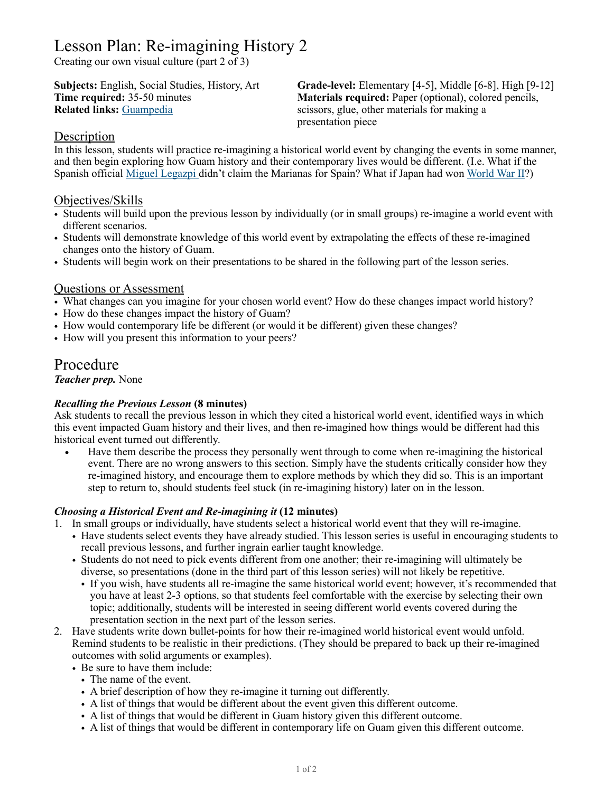# Lesson Plan: Re-imagining History 2

Creating our own visual culture (part 2 of 3)

**Related links:** [Guampedia](https://www.guampedia.com/) scissors, glue, other materials for making a

**Subjects:** English, Social Studies, History, Art **Grade-level:** Elementary [4-5], Middle [6-8], High [9-12] **Time required:** 35-50 minutes **Materials required:** Paper (optional), colored pencils, presentation piece

## **Description**

In this lesson, students will practice re-imagining a historical world event by changing the events in some manner, and then begin exploring how Guam history and their contemporary lives would be different. (I.e. What if the Spanish official [Miguel Legazpi d](https://www.guampedia.com/miguel-lopez-de-legazpi/)idn't claim the Marianas for Spain? What if Japan had won [World War II](https://www.guampedia.com/japanese-occupation-of-guam/)?)

### Objectives/Skills

- Students will build upon the previous lesson by individually (or in small groups) re-imagine a world event with different scenarios.
- Students will demonstrate knowledge of this world event by extrapolating the effects of these re-imagined changes onto the history of Guam.
- Students will begin work on their presentations to be shared in the following part of the lesson series.

### Questions or Assessment

- What changes can you imagine for your chosen world event? How do these changes impact world history?
- How do these changes impact the history of Guam?
- How would contemporary life be different (or would it be different) given these changes?
- How will you present this information to your peers?

# Procedure

*Teacher prep.* None

### *Recalling the Previous Lesson* **(8 minutes)**

Ask students to recall the previous lesson in which they cited a historical world event, identified ways in which this event impacted Guam history and their lives, and then re-imagined how things would be different had this historical event turned out differently.

• Have them describe the process they personally went through to come when re-imagining the historical event. There are no wrong answers to this section. Simply have the students critically consider how they re-imagined history, and encourage them to explore methods by which they did so. This is an important step to return to, should students feel stuck (in re-imagining history) later on in the lesson.

#### *Choosing a Historical Event and Re-imagining it* **(12 minutes)**

- 1. In small groups or individually, have students select a historical world event that they will re-imagine.
	- Have students select events they have already studied. This lesson series is useful in encouraging students to recall previous lessons, and further ingrain earlier taught knowledge.
	- Students do not need to pick events different from one another; their re-imagining will ultimately be diverse, so presentations (done in the third part of this lesson series) will not likely be repetitive.
		- If you wish, have students all re-imagine the same historical world event; however, it's recommended that you have at least 2-3 options, so that students feel comfortable with the exercise by selecting their own topic; additionally, students will be interested in seeing different world events covered during the presentation section in the next part of the lesson series.
- 2. Have students write down bullet-points for how their re-imagined world historical event would unfold. Remind students to be realistic in their predictions. (They should be prepared to back up their re-imagined outcomes with solid arguments or examples).
	- Be sure to have them include:
		- The name of the event.
		- A brief description of how they re-imagine it turning out differently.
		- A list of things that would be different about the event given this different outcome.
		- A list of things that would be different in Guam history given this different outcome.
		- A list of things that would be different in contemporary life on Guam given this different outcome.